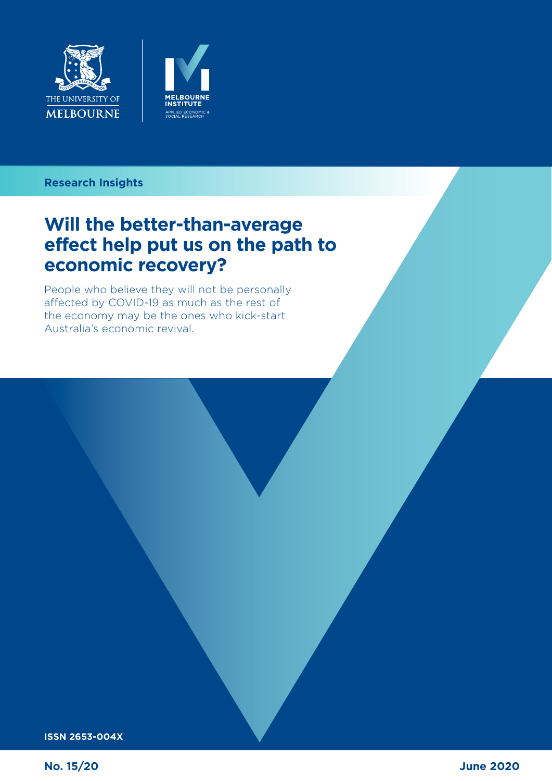



### **Can the tax system in the tax system in the tax system in the tax system in the tax system in the tax system in Research Insights**

### Will the better-than-average<br>effect help put us on the path to **economic recovery? Will the better-than-average**

People who believe they will not be personally affected by COVID-19 as much as the rest of the economy may be the ones who kick-start Australia's economic revival.

**ISSN 2653-004X**

**No. 15/20**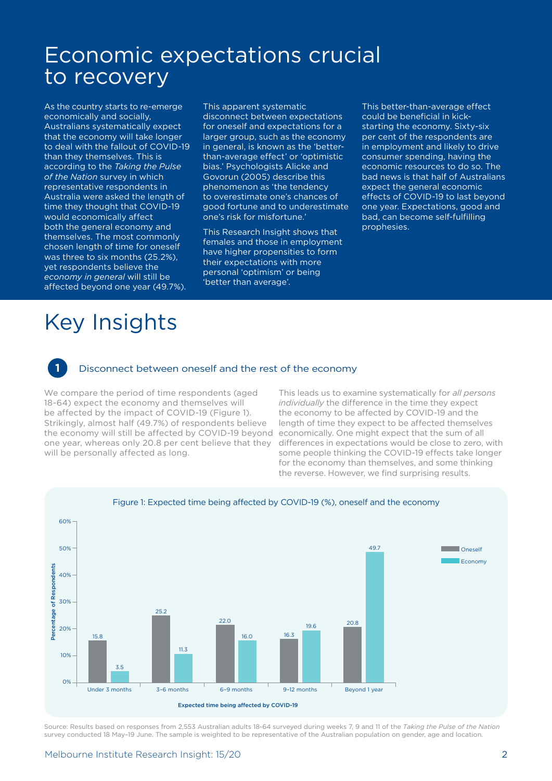### Economic expectations crucial to recovery

As the country starts to re-emerge economically and socially, Australians systematically expect that the economy will take longer to deal with the fallout of COVID-19 than they themselves. This is according to the *Taking the Pulse of the Nation* survey in which representative respondents in Australia were asked the length of time they thought that COVID-19 would economically affect both the general economy and themselves. The most commonly chosen length of time for oneself was three to six months (25.2%), yet respondents believe the *economy in general* will still be affected beyond one year (49.7%).

This apparent systematic disconnect between expectations for oneself and expectations for a larger group, such as the economy in general, is known as the 'betterthan-average effect' or 'optimistic bias.' Psychologists Alicke and Govorun (2005) describe this phenomenon as 'the tendency to overestimate one's chances of good fortune and to underestimate one's risk for misfortune.'

This Research Insight shows that females and those in employment have higher propensities to form their expectations with more personal 'optimism' or being 'better than average'.

This better-than-average effect could be beneficial in kickstarting the economy. Sixty-six per cent of the respondents are in employment and likely to drive consumer spending, having the economic resources to do so. The bad news is that half of Australians expect the general economic effects of COVID-19 to last beyond one year. Expectations, good and bad, can become self-fulfilling prophesies.

# Key Insights

#### **1** Disconnect between oneself and the rest of the economy

We compare the period of time respondents (aged 18-64) expect the economy and themselves will be affected by the impact of COVID-19 (Figure 1). Strikingly, almost half (49.7%) of respondents believe the economy will still be affected by COVID-19 beyond one year, whereas only 20.8 per cent believe that they will be personally affected as long.

This leads us to examine systematically for *all persons individually* the difference in the time they expect the economy to be affected by COVID-19 and the length of time they expect to be affected themselves economically. One might expect that the sum of all differences in expectations would be close to zero, with some people thinking the COVID-19 effects take longer for the economy than themselves, and some thinking the reverse. However, we find surprising results.



Source: Results based on responses from 2,553 Australian adults 18-64 surveyed during weeks 7, 9 and 11 of the *Taking the Pulse of the Nation*  survey conducted 18 May–19 June. The sample is weighted to be representative of the Australian population on gender, age and location.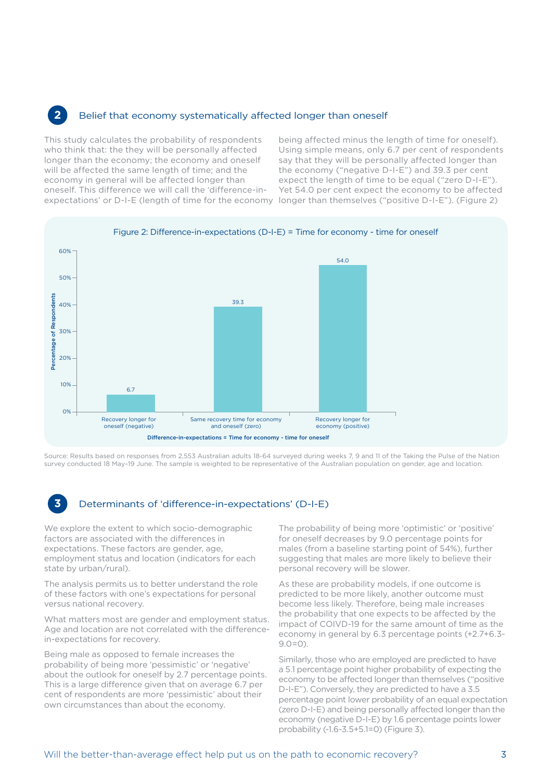#### **2** Belief that economy systematically affected longer than oneself

This study calculates the probability of respondents who think that: the they will be personally affected longer than the economy; the economy and oneself will be affected the same length of time; and the economy in general will be affected longer than oneself. This difference we will call the 'difference-in-

expectations' or D-I-E (length of time for the economy longer than themselves ("positive D-I-E"). (Figure 2) being affected minus the length of time for oneself). Using simple means, only 6.7 per cent of respondents say that they will be personally affected longer than the economy ("negative D-I-E") and 39.3 per cent expect the length of time to be equal ("zero D-I-E"). Yet 54.0 per cent expect the economy to be affected



Source: Results based on responses from 2,553 Australian adults 18-64 surveyed during weeks 7, 9 and 11 of the Taking the Pulse of the Nation survey conducted 18 May–19 June. The sample is weighted to be representative of the Australian population on gender, age and location.

#### **3** Determinants of 'difference-in-expectations' (D-I-E)

We explore the extent to which socio-demographic factors are associated with the differences in expectations. These factors are gender, age, employment status and location (indicators for each state by urban/rural).

The analysis permits us to better understand the role of these factors with one's expectations for personal versus national recovery.

What matters most are gender and employment status. Age and location are not correlated with the differencein-expectations for recovery.

Being male as opposed to female increases the probability of being more 'pessimistic' or 'negative' about the outlook for oneself by 2.7 percentage points. This is a large difference given that on average 6.7 per cent of respondents are more 'pessimistic' about their own circumstances than about the economy.

The probability of being more 'optimistic' or 'positive' for oneself decreases by 9.0 percentage points for males (from a baseline starting point of 54%), further suggesting that males are more likely to believe their personal recovery will be slower.

As these are probability models, if one outcome is predicted to be more likely, another outcome must become less likely. Therefore, being male increases the probability that one expects to be affected by the impact of COIVD-19 for the same amount of time as the economy in general by 6.3 percentage points (+2.7+6.3-  $9.0=0$ 

Similarly, those who are employed are predicted to have a 5.1 percentage point higher probability of expecting the economy to be affected longer than themselves ("positive D-I-E"). Conversely, they are predicted to have a 3.5 percentage point lower probability of an equal expectation (zero D-I-E) and being personally affected longer than the economy (negative D-I-E) by 1.6 percentage points lower probability (-1.6-3.5+5.1=0) (Figure 3).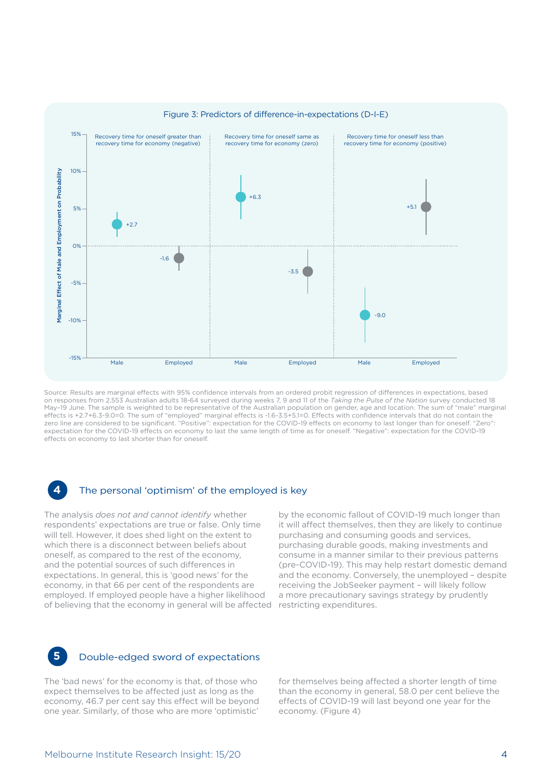

Source: Results are marginal effects with 95% confidence intervals from an ordered probit regression of differences in expectations, based on responses from 2,553 Australian adults 18-64 surveyed during weeks 7, 9 and 11 of the *Taking the Pulse of the Nation* survey conducted 18 May–19 June. The sample is weighted to be representative of the Australian population on gender, age and location. The sum of "male" marginal effects is +2.7+6.3-9.0=0. The sum of "employed" marginal effects is -1.6-3.5+5.1=0. Effects with confidence intervals that do not contain the zero line are considered to be significant. "Positive": expectation for the COVID-19 effects on economy to last longer than for oneself. "Zero": expectation for the COVID-19 effects on economy to last the same length of time as for oneself. "Negative": expectation for the COVID-19 effects on economy to last shorter than for oneself.

#### The personal 'optimism' of the employed is key

The analysis *does not and cannot identify* whether respondents' expectations are true or false. Only time will tell. However, it does shed light on the extent to which there is a disconnect between beliefs about oneself, as compared to the rest of the economy, and the potential sources of such differences in expectations. In general, this is 'good news' for the economy, in that 66 per cent of the respondents are employed. If employed people have a higher likelihood of believing that the economy in general will be affected

by the economic fallout of COVID-19 much longer than it will affect themselves, then they are likely to continue purchasing and consuming goods and services, purchasing durable goods, making investments and consume in a manner similar to their previous patterns (pre-COVID-19). This may help restart domestic demand and the economy. Conversely, the unemployed – despite receiving the JobSeeker payment – will likely follow a more precautionary savings strategy by prudently restricting expenditures.



#### **5** Double-edged sword of expectations

The 'bad news' for the economy is that, of those who expect themselves to be affected just as long as the economy, 46.7 per cent say this effect will be beyond one year. Similarly, of those who are more 'optimistic'

for themselves being affected a shorter length of time than the economy in general, 58.0 per cent believe the effects of COVID-19 will last beyond one year for the economy. (Figure 4)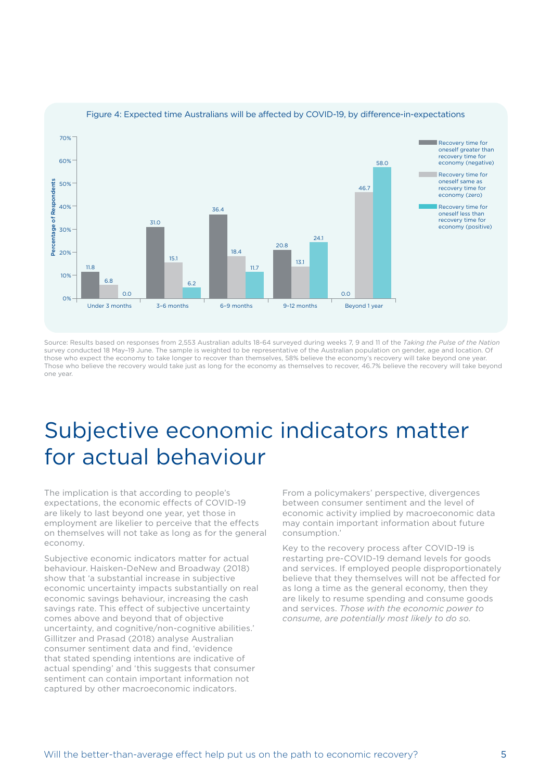

#### Figure 4: Expected time Australians will be affected by COVID-19, by difference-in-expectations

Source: Results based on responses from 2,553 Australian adults 18-64 surveyed during weeks 7, 9 and 11 of the *Taking the Pulse of the Nation* survey conducted 18 May–19 June. The sample is weighted to be representative of the Australian population on gender, age and location. Of those who expect the economy to take longer to recover than themselves, 58% believe the economy's recovery will take beyond one year. Those who believe the recovery would take just as long for the economy as themselves to recover, 46.7% believe the recovery will take beyond one year.

### Subjective economic indicators matter for actual behaviour

The implication is that according to people's expectations, the economic effects of COVID-19 are likely to last beyond one year, yet those in employment are likelier to perceive that the effects on themselves will not take as long as for the general economy.

Subjective economic indicators matter for actual behaviour. Haisken-DeNew and Broadway (2018) show that 'a substantial increase in subjective economic uncertainty impacts substantially on real economic savings behaviour, increasing the cash savings rate. This effect of subjective uncertainty comes above and beyond that of objective uncertainty, and cognitive/non-cognitive abilities.' Gillitzer and Prasad (2018) analyse Australian consumer sentiment data and find, 'evidence that stated spending intentions are indicative of actual spending' and 'this suggests that consumer sentiment can contain important information not captured by other macroeconomic indicators.

From a policymakers' perspective, divergences between consumer sentiment and the level of economic activity implied by macroeconomic data may contain important information about future consumption.'

Key to the recovery process after COVID-19 is restarting pre-COVID-19 demand levels for goods and services. If employed people disproportionately believe that they themselves will not be affected for as long a time as the general economy, then they are likely to resume spending and consume goods and services. *Those with the economic power to consume, are potentially most likely to do so.*